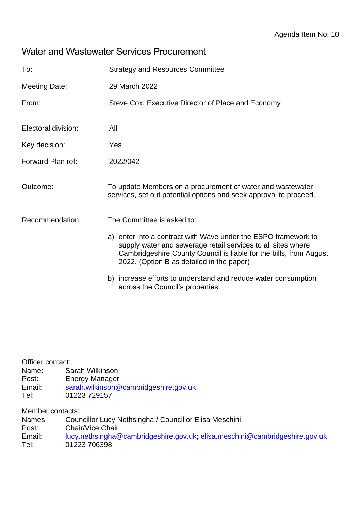## Water and Wastewater Services Procurement

| To:                  | <b>Strategy and Resources Committee</b>                                                                                                                                                                                                           |
|----------------------|---------------------------------------------------------------------------------------------------------------------------------------------------------------------------------------------------------------------------------------------------|
| <b>Meeting Date:</b> | 29 March 2022                                                                                                                                                                                                                                     |
| From:                | Steve Cox, Executive Director of Place and Economy                                                                                                                                                                                                |
| Electoral division:  | All                                                                                                                                                                                                                                               |
| Key decision:        | Yes                                                                                                                                                                                                                                               |
| Forward Plan ref:    | 2022/042                                                                                                                                                                                                                                          |
| Outcome:             | To update Members on a procurement of water and wastewater<br>services, set out potential options and seek approval to proceed.                                                                                                                   |
| Recommendation:      | The Committee is asked to:                                                                                                                                                                                                                        |
|                      | a) enter into a contract with Wave under the ESPO framework to<br>supply water and sewerage retail services to all sites where<br>Cambridgeshire County Council is liable for the bills, from August<br>2022. (Option B as detailed in the paper) |
|                      | b) increase efforts to understand and reduce water consumption<br>across the Council's properties.                                                                                                                                                |

Officer contact:

- Name: Sarah Wilkinson
- Post: Energy Manager
- Email: [sarah.wilkinson@cambridgeshire.gov.uk](mailto:sarah.wilkinson@cambridgeshire.gov.uk)
- Tel: 01223 729157

Member contacts:

Names: Councillor Lucy Nethsingha / Councillor Elisa Meschini

Post: Chair/Vice Chair

Email: [lucy.nethsingha@cambridgeshire.gov.uk;](mailto:lucy.nethsingha@cambridgeshire.gov.uk) [elisa.meschini@cambridgeshire.gov.uk](mailto:elisa.meschini@cambridgeshire.gov.uk) Tel: 01223 706398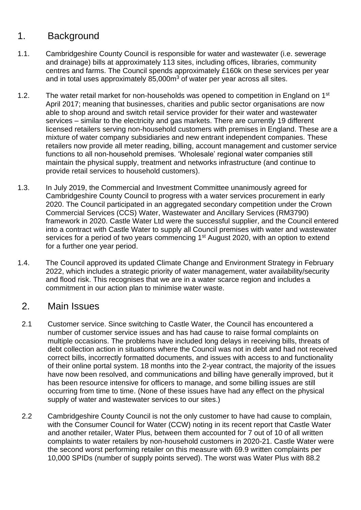# 1. Background

- 1.1. Cambridgeshire County Council is responsible for water and wastewater (i.e. sewerage and drainage) bills at approximately 113 sites, including offices, libraries, community centres and farms. The Council spends approximately £160k on these services per year and in total uses approximately 85,000m<sup>3</sup> of water per year across all sites.
- 1.2. The water retail market for non-households was opened to competition in England on 1<sup>st</sup> April 2017; meaning that businesses, charities and public sector organisations are now able to shop around and switch retail service provider for their water and wastewater services – similar to the electricity and gas markets. There are currently 19 different licensed retailers serving non-household customers with premises in England. These are a mixture of water company subsidiaries and new entrant independent companies. These retailers now provide all meter reading, billing, account management and customer service functions to all non-household premises. 'Wholesale' regional water companies still maintain the physical supply, treatment and networks infrastructure (and continue to provide retail services to household customers).
- 1.3. In July 2019, the Commercial and Investment Committee unanimously agreed for Cambridgeshire County Council to progress with a water services procurement in early 2020. The Council participated in an aggregated secondary competition under the Crown Commercial Services (CCS) Water, Wastewater and Ancillary Services (RM3790) framework in 2020. Castle Water Ltd were the successful supplier, and the Council entered into a contract with Castle Water to supply all Council premises with water and wastewater services for a period of two years commencing 1<sup>st</sup> August 2020, with an option to extend for a further one year period.
- 1.4. The Council approved its updated Climate Change and Environment Strategy in February 2022, which includes a strategic priority of water management, water availability/security and flood risk. This recognises that we are in a water scarce region and includes a commitment in our action plan to minimise water waste.

#### 2. Main Issues

- 2.1 Customer service. Since switching to Castle Water, the Council has encountered a number of customer service issues and has had cause to raise formal complaints on multiple occasions. The problems have included long delays in receiving bills, threats of debt collection action in situations where the Council was not in debt and had not received correct bills, incorrectly formatted documents, and issues with access to and functionality of their online portal system. 18 months into the 2-year contract, the majority of the issues have now been resolved, and communications and billing have generally improved, but it has been resource intensive for officers to manage, and some billing issues are still occurring from time to time. (None of these issues have had any effect on the physical supply of water and wastewater services to our sites.)
- 2.2 Cambridgeshire County Council is not the only customer to have had cause to complain, with the Consumer Council for Water (CCW) noting in its recent report that Castle Water and another retailer, Water Plus, between them accounted for 7 out of 10 of all written complaints to water retailers by non-household customers in 2020-21. Castle Water were the second worst performing retailer on this measure with 69.9 written complaints per 10,000 SPIDs (number of supply points served). The worst was Water Plus with 88.2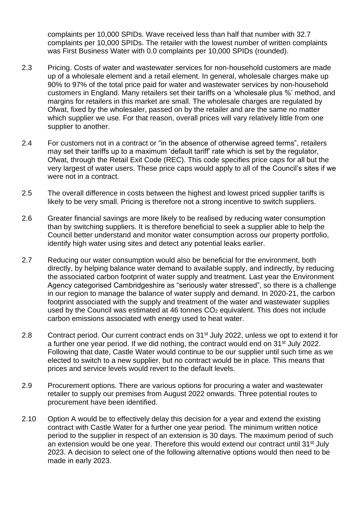complaints per 10,000 SPIDs. Wave received less than half that number with 32.7 complaints per 10,000 SPIDs. The retailer with the lowest number of written complaints was First Business Water with 0.0 complaints per 10,000 SPIDs (rounded).

- 2.3 Pricing. Costs of water and wastewater services for non-household customers are made up of a wholesale element and a retail element. In general, wholesale charges make up 90% to 97% of the total price paid for water and wastewater services by non-household customers in England. Many retailers set their tariffs on a 'wholesale plus %' method, and margins for retailers in this market are small. The wholesale charges are regulated by Ofwat, fixed by the wholesaler, passed on by the retailer and are the same no matter which supplier we use. For that reason, overall prices will vary relatively little from one supplier to another.
- 2.4 For customers not in a contract or "in the absence of otherwise agreed terms", retailers may set their tariffs up to a maximum 'default tariff' rate which is set by the regulator, Ofwat, through the Retail Exit Code (REC). This code specifies price caps for all but the very largest of water users. These price caps would apply to all of the Council's sites if we were not in a contract.
- 2.5 The overall difference in costs between the highest and lowest priced supplier tariffs is likely to be very small. Pricing is therefore not a strong incentive to switch suppliers.
- 2.6 Greater financial savings are more likely to be realised by reducing water consumption than by switching suppliers. It is therefore beneficial to seek a supplier able to help the Council better understand and monitor water consumption across our property portfolio, identify high water using sites and detect any potential leaks earlier.
- 2.7 Reducing our water consumption would also be beneficial for the environment, both directly, by helping balance water demand to available supply, and indirectly, by reducing the associated carbon footprint of water supply and treatment. Last year the Environment Agency categorised Cambridgeshire as "seriously water stressed", so there is a challenge in our region to manage the balance of water supply and demand. In 2020-21, the carbon footprint associated with the supply and treatment of the water and wastewater supplies used by the Council was estimated at 46 tonnes  $CO<sub>2</sub>$  equivalent. This does not include carbon emissions associated with energy used to heat water.
- 2.8 Contract period. Our current contract ends on 31<sup>st</sup> July 2022, unless we opt to extend it for a further one year period. If we did nothing, the contract would end on 31<sup>st</sup> July 2022. Following that date, Castle Water would continue to be our supplier until such time as we elected to switch to a new supplier, but no contract would be in place. This means that prices and service levels would revert to the default levels.
- 2.9 Procurement options. There are various options for procuring a water and wastewater retailer to supply our premises from August 2022 onwards. Three potential routes to procurement have been identified.
- 2.10 Option A would be to effectively delay this decision for a year and extend the existing contract with Castle Water for a further one year period. The minimum written notice period to the supplier in respect of an extension is 30 days. The maximum period of such an extension would be one year. Therefore this would extend our contract until 31<sup>st</sup> July 2023. A decision to select one of the following alternative options would then need to be made in early 2023.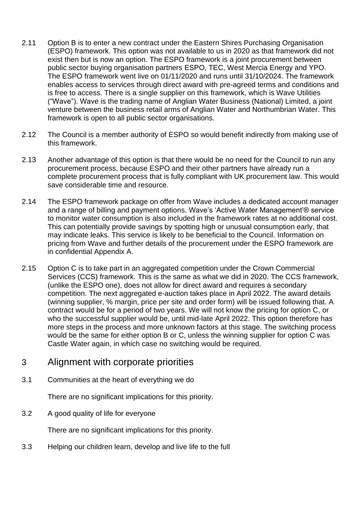- 2.11 Option B is to enter a new contract under the Eastern Shires Purchasing Organisation (ESPO) framework. This option was not available to us in 2020 as that framework did not exist then but is now an option. The ESPO framework is a joint procurement between public sector buying organisation partners ESPO, TEC, West Mercia Energy and YPO. The ESPO framework went live on 01/11/2020 and runs until 31/10/2024. The framework enables access to services through direct award with pre-agreed terms and conditions and is free to access. There is a single supplier on this framework, which is Wave Utilities ("Wave"). Wave is the trading name of Anglian Water Business (National) Limited, a joint venture between the business retail arms of Anglian Water and Northumbrian Water. This framework is open to all public sector organisations.
- 2.12 The Council is a member authority of ESPO so would benefit indirectly from making use of this framework.
- 2.13 Another advantage of this option is that there would be no need for the Council to run any procurement process, because ESPO and their other partners have already run a complete procurement process that is fully compliant with UK procurement law. This would save considerable time and resource.
- 2.14 The ESPO framework package on offer from Wave includes a dedicated account manager and a range of billing and payment options. Wave's 'Active Water Management'® service to monitor water consumption is also included in the framework rates at no additional cost. This can potentially provide savings by spotting high or unusual consumption early, that may indicate leaks. This service is likely to be beneficial to the Council. Information on pricing from Wave and further details of the procurement under the ESPO framework are in confidential Appendix A.
- 2.15 Option C is to take part in an aggregated competition under the Crown Commercial Services (CCS) framework. This is the same as what we did in 2020. The CCS framework, (unlike the ESPO one), does not allow for direct award and requires a secondary competition. The next aggregated e-auction takes place in April 2022. The award details (winning supplier, % margin, price per site and order form) will be issued following that. A contract would be for a period of two years. We will not know the pricing for option C, or who the successful supplier would be, until mid-late April 2022. This option therefore has more steps in the process and more unknown factors at this stage. The switching process would be the same for either option B or C, unless the winning supplier for option C was Castle Water again, in which case no switching would be required.

#### 3 Alignment with corporate priorities

3.1 Communities at the heart of everything we do

There are no significant implications for this priority.

3.2 A good quality of life for everyone

There are no significant implications for this priority.

3.3 Helping our children learn, develop and live life to the full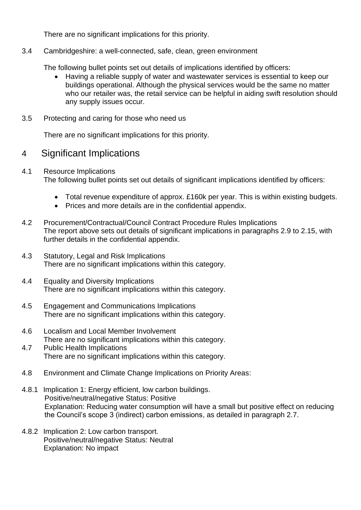There are no significant implications for this priority.

3.4 Cambridgeshire: a well-connected, safe, clean, green environment

The following bullet points set out details of implications identified by officers:

- Having a reliable supply of water and wastewater services is essential to keep our buildings operational. Although the physical services would be the same no matter who our retailer was, the retail service can be helpful in aiding swift resolution should any supply issues occur.
- 3.5 Protecting and caring for those who need us

There are no significant implications for this priority.

## 4 Significant Implications

- 4.1 Resource Implications The following bullet points set out details of significant implications identified by officers:
	- Total revenue expenditure of approx. £160k per year. This is within existing budgets.
	- Prices and more details are in the confidential appendix.
- 4.2 Procurement/Contractual/Council Contract Procedure Rules Implications The report above sets out details of significant implications in paragraphs 2.9 to 2.15, with further details in the confidential appendix.
- 4.3 Statutory, Legal and Risk Implications There are no significant implications within this category.
- 4.4 Equality and Diversity Implications There are no significant implications within this category.
- 4.5 Engagement and Communications Implications There are no significant implications within this category.
- 4.6 Localism and Local Member Involvement There are no significant implications within this category.
- 4.7 Public Health Implications There are no significant implications within this category.
- 4.8 Environment and Climate Change Implications on Priority Areas:
- 4.8.1 Implication 1: Energy efficient, low carbon buildings. Positive/neutral/negative Status: Positive Explanation: Reducing water consumption will have a small but positive effect on reducing the Council's scope 3 (indirect) carbon emissions, as detailed in paragraph 2.7.
- 4.8.2 Implication 2: Low carbon transport. Positive/neutral/negative Status: Neutral Explanation: No impact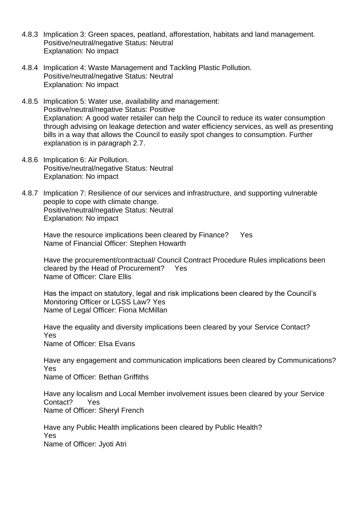- 4.8.3 Implication 3: Green spaces, peatland, afforestation, habitats and land management. Positive/neutral/negative Status: Neutral Explanation: No impact
- 4.8.4 Implication 4: Waste Management and Tackling Plastic Pollution. Positive/neutral/negative Status: Neutral Explanation: No impact
- 4.8.5 Implication 5: Water use, availability and management: Positive/neutral/negative Status: Positive Explanation: A good water retailer can help the Council to reduce its water consumption through advising on leakage detection and water efficiency services, as well as presenting bills in a way that allows the Council to easily spot changes to consumption. Further explanation is in paragraph 2.7.
- 4.8.6 Implication 6: Air Pollution. Positive/neutral/negative Status: Neutral Explanation: No impact
- 4.8.7 Implication 7: Resilience of our services and infrastructure, and supporting vulnerable people to cope with climate change. Positive/neutral/negative Status: Neutral Explanation: No impact

Have the resource implications been cleared by Finance? Yes Name of Financial Officer: Stephen Howarth

Have the procurement/contractual/ Council Contract Procedure Rules implications been cleared by the Head of Procurement? Yes Name of Officer: Clare Ellis

Has the impact on statutory, legal and risk implications been cleared by the Council's Monitoring Officer or LGSS Law? Yes Name of Legal Officer: Fiona McMillan

Have the equality and diversity implications been cleared by your Service Contact? Yes Name of Officer: Elsa Evans

Have any engagement and communication implications been cleared by Communications? Yes

Name of Officer: Bethan Griffiths

Have any localism and Local Member involvement issues been cleared by your Service Contact? Yes Name of Officer: Sheryl French

Have any Public Health implications been cleared by Public Health? Yes Name of Officer: Jyoti Atri